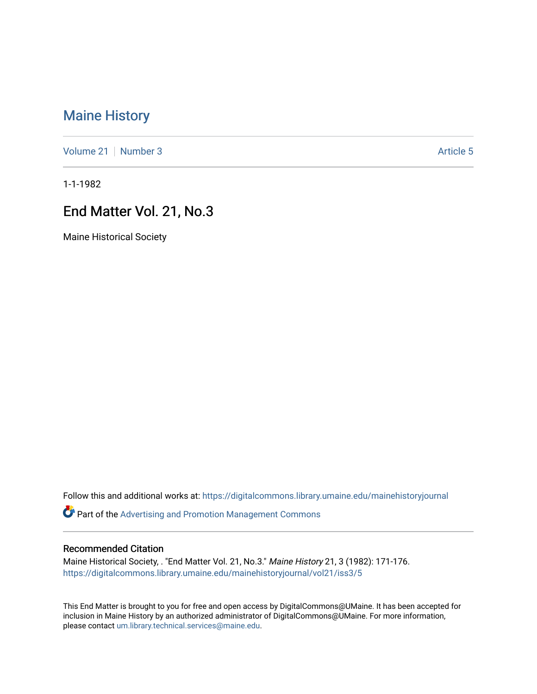# [Maine History](https://digitalcommons.library.umaine.edu/mainehistoryjournal)

[Volume 21](https://digitalcommons.library.umaine.edu/mainehistoryjournal/vol21) | [Number 3](https://digitalcommons.library.umaine.edu/mainehistoryjournal/vol21/iss3) Article 5

1-1-1982

# End Matter Vol. 21, No.3

Maine Historical Society

Follow this and additional works at: [https://digitalcommons.library.umaine.edu/mainehistoryjournal](https://digitalcommons.library.umaine.edu/mainehistoryjournal?utm_source=digitalcommons.library.umaine.edu%2Fmainehistoryjournal%2Fvol21%2Fiss3%2F5&utm_medium=PDF&utm_campaign=PDFCoverPages) 

Part of the [Advertising and Promotion Management Commons](http://network.bepress.com/hgg/discipline/626?utm_source=digitalcommons.library.umaine.edu%2Fmainehistoryjournal%2Fvol21%2Fiss3%2F5&utm_medium=PDF&utm_campaign=PDFCoverPages) 

#### Recommended Citation

Maine Historical Society, . "End Matter Vol. 21, No.3." Maine History 21, 3 (1982): 171-176. [https://digitalcommons.library.umaine.edu/mainehistoryjournal/vol21/iss3/5](https://digitalcommons.library.umaine.edu/mainehistoryjournal/vol21/iss3/5?utm_source=digitalcommons.library.umaine.edu%2Fmainehistoryjournal%2Fvol21%2Fiss3%2F5&utm_medium=PDF&utm_campaign=PDFCoverPages)

This End Matter is brought to you for free and open access by DigitalCommons@UMaine. It has been accepted for inclusion in Maine History by an authorized administrator of DigitalCommons@UMaine. For more information, please contact [um.library.technical.services@maine.edu.](mailto:um.library.technical.services@maine.edu)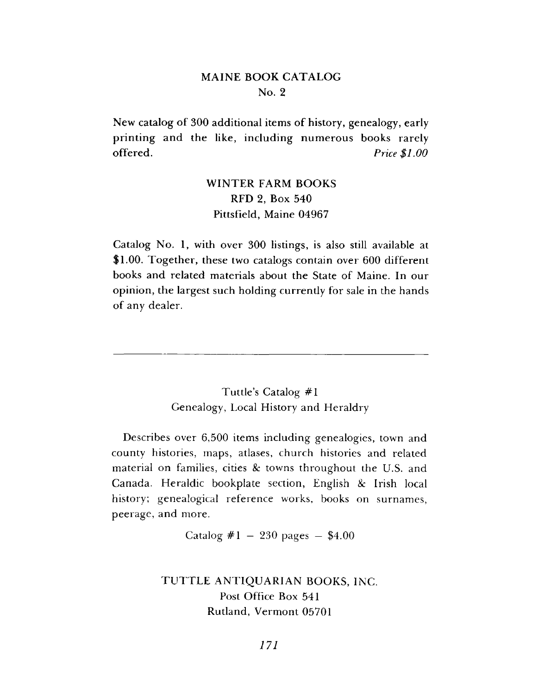#### **MAINE BOOK CATALOG** No. 2

New catalog of 300 additional items of history, genealogy, early printing and the like, including numerous books rarely **offered.** *Price* \$1.00

### **WINTER FARM BOOKS R FD 2, B ox 540** Pittsfield, Maine 04967

Catalog No. 1, with over 300 listings, is also still available at \$1.00. Together, these two catalogs contain over 600 different books and related materials about the State of Maine. In our opinion, the largest such holding currently for sale in the hands of any dealer.

> Tuttle's Catalog #1 Genealogy, Local History and Heraldry

**Describes over 6,500 items including genealogies, town and** county histories, maps, atlases, church histories and related material on families, cities & towns throughout the U.S. and **Canada.** Heraldic bookplate section, English & Irish local history; genealogical reference works, books on surnames, peerage, and more.

Catalog  $\#1 - 230$  pages  $-$  \$4.00

TUTTLE ANTIQUARIAN BOOKS, INC. Post Office Box 541 **Rutland, Vermont 05701**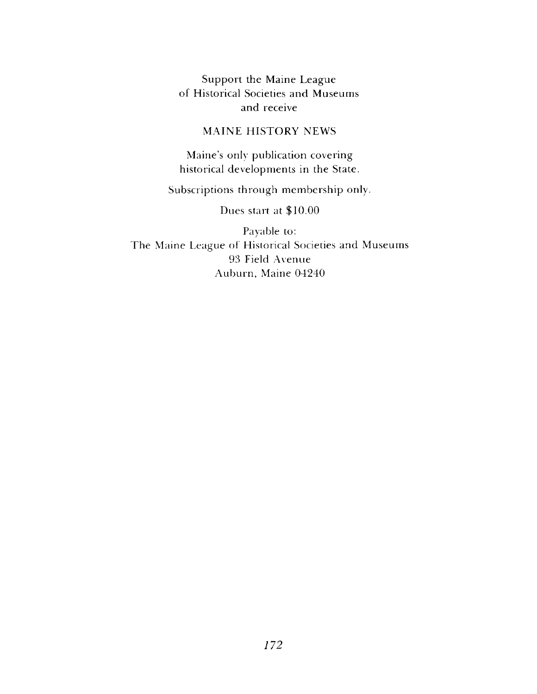Support the Maine League of Historical Societies and Museums and receive

#### MAINE HISTORY NEWS

Maine's only publication covering historical developments in the State.

Subscriptions through membership only.

Dues start at \$10.00

Payable to: The Maine League of Historical Societies and Museums 93 Field Avenue Auburn, Maine 04240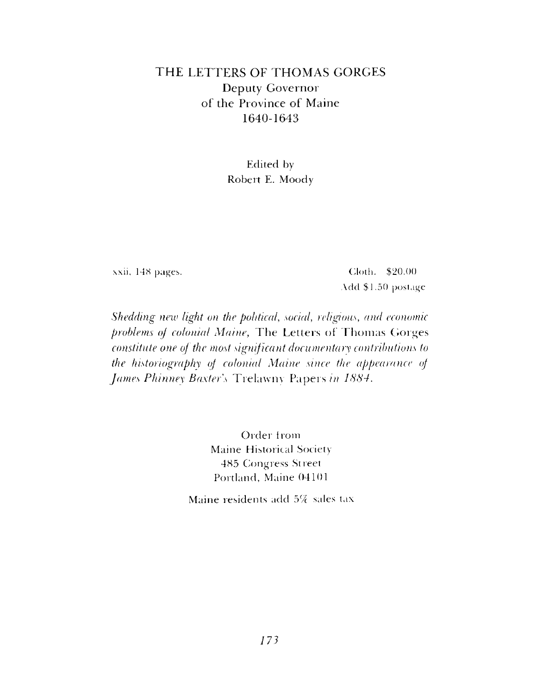## THE LETTERS OF THOMAS GORGES Deputy Governor of the Province of Maine 1640-1643

Edited by Robert E. Moody

xxii, 148 pages. Cloth. \$20.00 Add \$1.50 postage

*Shedding new light on the political, social, religious, and economic problems oj colonial Maine,* The Letters of Thomas Gorges *constitute one of the most significant documentary contributions to the historiography of colonial Maine since the appearance of James Phinney Baxter's* Trelawny Papers in 1884.

> Order from Maine Historical Society 485 Congress Street Portland, Maine 04101

Maine residents add 5% sales tax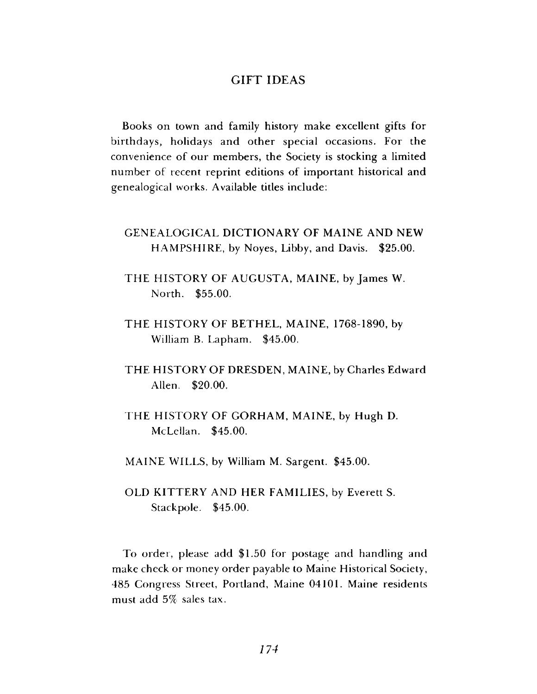#### **GIFT IDEAS**

Books on town and family history make excellent gifts for birthdays, holidays and other special occasions. For the convenience of our members, the Society is stocking a limited number of recent reprint editions of important historical and genealogical works. Available titles include:

### **GENEALOGICAL DICTIONARY OF MAINE AND NEW** HAMPSHIRE, by Noyes, Libby, and Davis. \$25.00.

THE HISTORY OF AUGUSTA, MAINE, by James W. North. \$55.00.

THE HISTORY OF BETHEL, MAINE, 1768-1890, by William B. Lapham. \$45.00.

- THE HISTORY OF DRESDEN, MAINE, by Charles Edward Allen. \$20.00.
- THE HISTORY OF GORHAM, MAINE, by Hugh D. McLellan. \$45.00.

MAINE WILLS, by William M. Sargent. \$45.00.

OLD KITTERY AND HER FAMILIES, by Everett S. Stackpole. \$45.00.

To order, please add \$1.50 for postage and handling and make check or money order payable to Maine Historical Society, 485 Congress Street, Portland, Maine 04101. Maine residents must add 5% sales tax.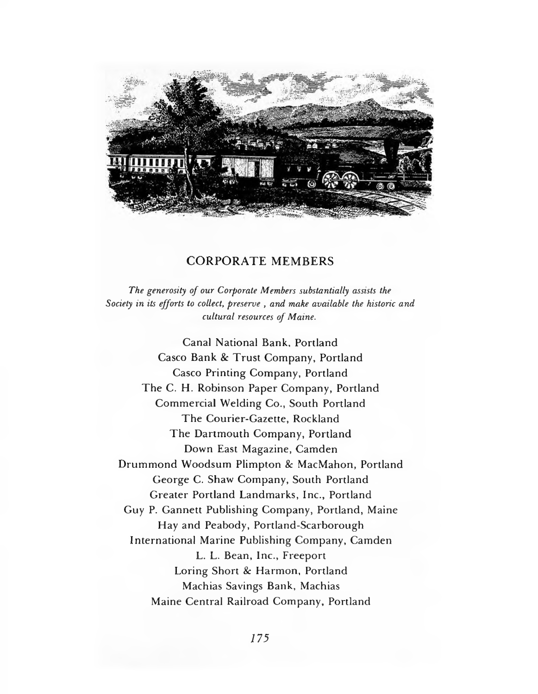

#### CORPORATE MEMBERS

*The generosity of our Corporate Members substantially assists the Society in its efforts to collect, preserve , and make available the historic and cultural resources of Maine.*

**Canal National Bank, Portland Casco Bank & Trust Company, Portland Casco Printing Company, Portland** The C. H. Robinson Paper Company, Portland **Commercial Welding Co., South Portland The Courier-Gazette, Rockland** The Dartmouth Company, Portland **Down East Magazine, Camden Drummond Woodsum Plimpton & MacMahon, Portland** George C. Shaw Company, South Portland **Greater Portland Landmarks, Inc., Portland Guy P. Gannett Publishing Company, Portland, Maine** Hay and Peabody, Portland-Scarborough **International Marine Publishing Company, Camden** L. L. Bean, Inc., Freeport Loring Short & Harmon, Portland **M achias Savings B ank, M achias Maine Central Railroad Company, Portland**